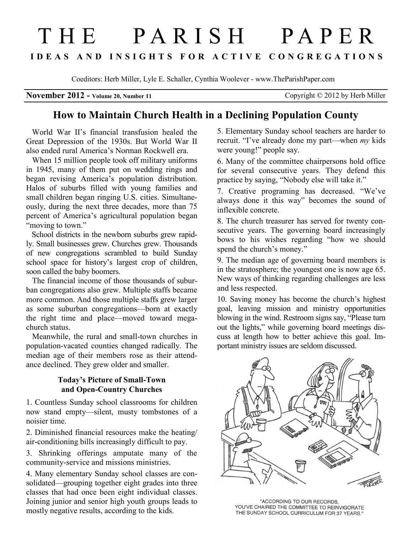# THE PARISH PAPER **I D E A S A N D I N S I G H T S F O R A C T I V E C O N G R E G A T I O N S**

Coeditors: Herb Miller, Lyle E. Schaller, Cynthia Woolever - www.TheParishPaper.com

**November 2012 -** Volume 20, Number 11 Copyright © 2012 by Herb Miller

## **How to Maintain Church Health in a Declining Population County**

 World War II's financial transfusion healed the Great Depression of the 1930s. But World War II also ended rural America's Norman Rockwell era.

When 15 million people took off military uniforms in 1945, many of them put on wedding rings and began revising America's population distribution. Halos of suburbs filled with young families and small children began ringing U.S. cities. Simultaneously, during the next three decades, more than 75 percent of America's agricultural population began "moving to town."

 School districts in the newborn suburbs grew rapidly. Small businesses grew. Churches grew. Thousands of new congregations scrambled to build Sunday school space for history's largest crop of children, soon called the baby boomers.

 The financial income of those thousands of suburban congregations also grew. Multiple staffs became more common. And those multiple staffs grew larger as some suburban congregations—born at exactly the right time and place—moved toward megachurch status.

 Meanwhile, the rural and small-town churches in population-vacated counties changed radically. The median age of their members rose as their attendance declined. They grew older and smaller.

### **Today's Picture of Small-Town and Open-Country Churches**

1. Countless Sunday school classrooms for children now stand empty—silent, musty tombstones of a noisier time.

2. Diminished financial resources make the heating/ air-conditioning bills increasingly difficult to pay.

3. Shrinking offerings amputate many of the community-service and missions ministries.

4. Many elementary Sunday school classes are consolidated—grouping together eight grades into three classes that had once been eight individual classes. Joining junior and senior high youth groups leads to mostly negative results, according to the kids.

5. Elementary Sunday school teachers are harder to recruit. "I've already done my part—when *my* kids were young!" people say.

6. Many of the committee chairpersons hold office for several consecutive years. They defend this practice by saying, "Nobody else will take it."

7. Creative programing has decreased. "We've always done it this way" becomes the sound of inflexible concrete.

8. The church treasurer has served for twenty consecutive years. The governing board increasingly bows to his wishes regarding "how we should spend the church's money."

9. The median age of governing board members is in the stratosphere; the youngest one is now age 65. New ways of thinking regarding challenges are less and less respected.

10. Saving money has become the church's highest goal, leaving mission and ministry opportunities blowing in the wind. Restroom signs say, "Please turn out the lights," while governing board meetings discuss at length how to better achieve this goal. Important ministry issues are seldom discussed.



"ACCORDING TO OUR RECORDS. YOU'VE CHAIRED THE COMMITTEE TO REINVIGORATE THE SUNDAY SCHOOL CURRICULUM FOR 37 YEARS."